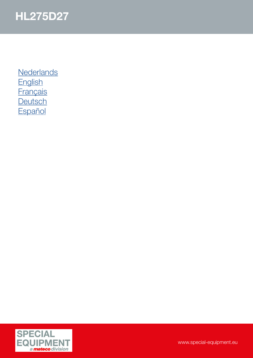

**[Nederlands](#page-1-0) [English](#page-2-0) [Français](#page-3-0) [Deutsch](#page-4-0) [Español](#page-5-0)** 

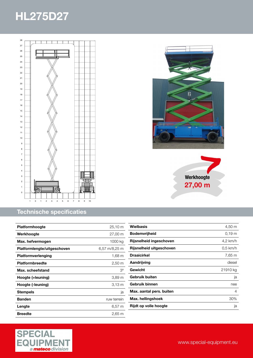<span id="page-1-0"></span>

#### Technische specificaties

| <b>Platformhoogte</b>       | 25,10 m              |
|-----------------------------|----------------------|
| Werkhoogte                  | 27,00 m              |
| Max. hefvermogen            | 1000 kg              |
| Platformlengte/uitgeschoven | 6,57 m/8,25 m        |
| Platformverlenging          | 1,68 m               |
| <b>Platformbreedte</b>      | $2,50 \; \mathrm{m}$ |
| Max. scheefstand            | $3^{\circ}$          |
| Hoogte (+leuning)           | 3,89 <sub>m</sub>    |
| Hoogte (-leuning)           | $3.13 \text{ m}$     |
| Stempels                    | ja                   |
| <b>Banden</b>               | ruw terrein          |
| Lengte                      | $6,57 \; m$          |
| <b>Breedte</b>              | 2,65 m               |







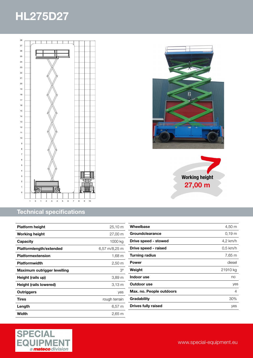<span id="page-2-0"></span>

### Technical specifications

| <b>Platform height</b>      | $25,10 \; \text{m}$  |
|-----------------------------|----------------------|
| Working height              | 27,00 m              |
| Capacity                    | 1000 kg              |
| Platformlength/extended     | 6,57 m/8,25 m        |
| <b>Platformextension</b>    | 1,68 m               |
| <b>Platformwidth</b>        | $2,50 \; \mathrm{m}$ |
| Maximum outrigger levelling | Зο                   |
| Height (rails up)           | 3,89 m               |
| Height (rails lowered)      | 3.13 m               |
| <b>Outriggers</b>           | ves                  |
| Tires                       | rough terrain        |
| Length                      | $6,57 \; m$          |
| Width                       | $2,65 \; m$          |

| Wheelbase                | 4,50 m             |
|--------------------------|--------------------|
| Groundclearance          | $0,19 \, \text{m}$ |
| Drive speed - stowed     | 4,2 km/h           |
| Drive speed - raised     | $0,5$ km/h         |
| Turning radius           | 7,65 m             |
| Power                    | diesel             |
| Weight                   | 21910 kg           |
| Indoor use               | no                 |
| Outdoor use              | yes                |
| Max. no. People outdoors | 4                  |
| Gradability              | 30%                |
| Drives fully raised      | yes                |
|                          |                    |





Working height 27,00 m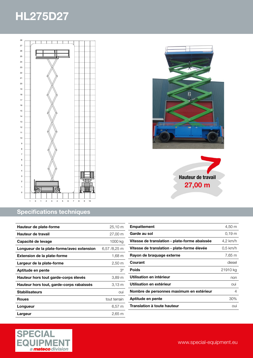<span id="page-3-0"></span>

### Specifications techniques

| Hauteur de plate-forme                    | $25,10 \; \text{m}$   |
|-------------------------------------------|-----------------------|
| Hauteur de travail                        | 27,00 m               |
| Capacité de levage                        | 1000 kg               |
| Longueur de la plate-forme/avec extension | $6,57/8,25 \text{ m}$ |
| <b>Extension de la plate-forme</b>        | 1,68 m                |
| Largeur de la plate-forme                 | 2,50 m                |
| Aptitude en pente                         | $3^{\circ}$           |
| Hauteur hors tout garde-corps élevés      | 3,89 m                |
| Hauteur hors tout, garde-corps rabaissés  | $3.13 \text{ m}$      |
| <b>Stabilisateurs</b>                     | oui                   |
| <b>Roues</b>                              | tout terrain          |
| Longueur                                  | $6,57 \; m$           |
| Largeur                                   | 2.65 m                |





| <b>Empattement</b>                            | 4,50 m            |
|-----------------------------------------------|-------------------|
| Garde au sol                                  | 0.19 <sub>m</sub> |
| Vitesse de translation - plate-forme abaissée | 4,2 km/h          |
| Vitesse de translation - plate-forme élevée   | $0.5$ km/h        |
| Rayon de braquage externe                     | 7,65 m            |
| Courant                                       | diesel            |
| <b>Poids</b>                                  | 21910 kg          |
| Utilisation en intérieur                      | non               |
| Utilisation en extérieur                      | oui               |
| Nombre de personnes maximum en extérieur      | 4                 |
| Aptitude en pente                             | 30%               |
| <b>Translation à toute hauteur</b>            | oui               |
|                                               |                   |

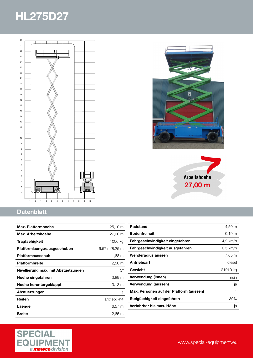<span id="page-4-0"></span>

### **Datenblatt**

| Max. Platformhoehe                  | 25,10 m              |
|-------------------------------------|----------------------|
| Max. Arbeitshoehe                   | 27,00 m              |
| Tragfaehigkeit                      | 1000 kg              |
| Platformlaenge/ausgeschoben         | 6,57 m/8,25 m        |
| Platformausschub                    | 1,68 m               |
| <b>Platformbreite</b>               | $2,50 \; \mathrm{m}$ |
| Nivellierung max. mit Abstuetzungen | $3^{\circ}$          |
| Hoehe eingefahren                   | 3,89 <sub>m</sub>    |
| Hoehe heruntergeklappt              | 3.13 <sub>m</sub>    |
| Abstuetzungen                       | ja                   |
| Reifen                              | antrieb: 4*4         |
| Laenge                              | 6,57 m               |
| <b>Breite</b>                       | $2,65 \; \mathrm{m}$ |





| <b>Radstand</b>                         | 4,50 m            |
|-----------------------------------------|-------------------|
| <b>Bodenfreiheit</b>                    | 0.19 <sub>m</sub> |
| Fahrgeschwindigkeit eingefahren         | 4,2 km/h          |
| Fahrgeschwindigkeit ausgefahren         | $0.5$ km/h        |
| Wenderadius aussen                      | 7,65 m            |
| Antriebsart                             | diesel            |
| Gewicht                                 | 21910 kg          |
| Verwendung (innen)                      | nein              |
| Verwendung (aussen)                     | ja                |
| Max. Personen auf der Platform (aussen) | 4                 |
| Steigfaehigkeit eingefahren             | 30%               |
| Verfahrbar bis max. Höhe                | ja                |
|                                         |                   |